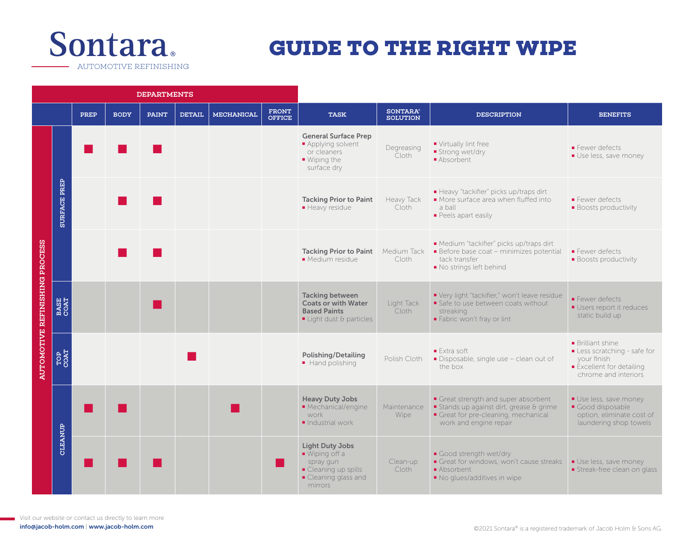

## **GUIDE TO THE RIGHT WIPE**

DEPARTMENTS PREP | BODY | PAINT | DETAIL | MECHANICAL | FRONT  $\begin{matrix} \texttt{FRONT} \ \texttt{S} \ \texttt{S} \ \texttt{S} \ \texttt{S} \ \texttt{S} \ \texttt{S} \ \texttt{S} \ \texttt{S} \ \texttt{S} \ \texttt{S} \ \texttt{S} \ \texttt{S} \ \texttt{S} \ \texttt{S} \ \texttt{S} \ \texttt{S} \ \texttt{S} \ \texttt{S} \ \texttt{S} \ \texttt{S} \ \texttt{S} \ \texttt{S} \ \texttt{S} \ \texttt{S} \ \texttt{S} \ \texttt{S} \ \texttt{S} \ \texttt{S} \ \texttt{S} \ \texttt{S$ General Surface Prep ■ Applying solvent ■ Virtually lint free ■ ■ ■ Degreasing ■ Fewer defects or cleaners ■ Strong wet/dry Cloth **■ Use less, save money** ■ Wiping the ■ Absorbent surface dry **SURFACE PREP** SURFACE PREP ■ Heavy "tackifier" picks up/traps dirt **Tacking Prior to Paint** Heavy Tack ■ More surface area when fluffed into ■ Fewer defects ■ Heavy residue Cloth a ball ■ Boosts productivity ■ Peels apart easily AUTOMOTIVE REFINISHING PROCESS ■ Medium "tackifier" picks up/traps dirt AUTOMOTIVE REFINISHING PROCESS ■ Tacking Prior to Paint Medium Tack<br>■ Tacking Prior to Paint Medium Tack<br>■ Medium sesidue Clath ■ Before base coat – minimizes potential ■ Fewer defects ■ Medium residue Cloth tack transfer ■ Boosts productivity ■ No strings left behind Tacking between ■ Very light "tackifier," won't leave residue ■ Fewer defects BASE COAT ■ Coats or with Water Light Tack ■ Safe to use between coats without ■ Users report it reduces Based Paints Cloth streaking static build up ■ Light dust & particles ■ Fabric won't fray or lint ■ Brilliant shine ■ Extra soft ■ Less scratching - safe for TOP COAT ■ Polishing/Detailing **Polishing/Detailing** Polish Cloth ■ Disposable, single use – clean out of your finish the box ■ Excellent for detailing chrome and interiors Heavy Duty Jobs Great strength and super absorbent ■ Use less, save money ■ ■ ■ ■ Mechanical/engine Maintenance ■ Stands up against dirt, grease & grime ■ Good disposable work Wipe Great for pre-cleaning, mechanical option, eliminate cost of ■ Industrial work work and engine repair laundering shop towels CLEANUP CLEANUP Light Duty Jobs ■ Wiping off a ■ Good strength wet/drv ■ ■ ■ ■ spray gun Clean-up Great for windows, won't cause streaks ■ Use less, save money ■ Cleaning up spills Cloth ■ Absorbent ■ Streak-free clean on glass ■ Cleaning glass and ■ No glues/additives in wipe mirrors